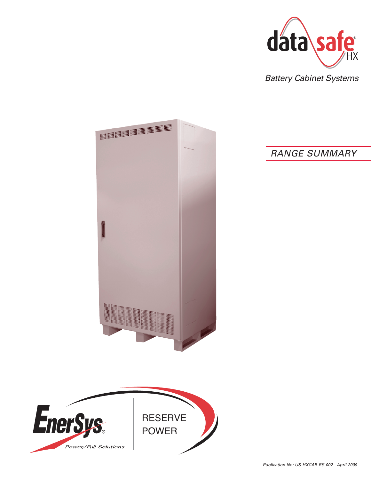

Battery Cabinet Systems

# RANGE SUMMARY



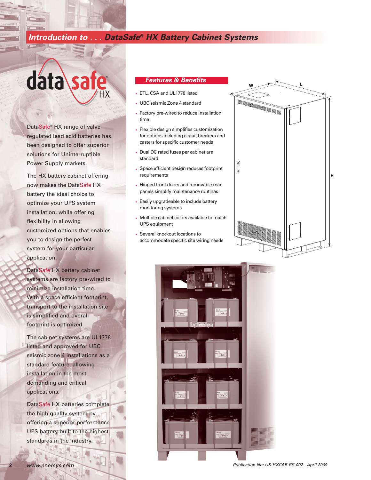## **Introduction to . . . DataSafe® HX Battery Cabinet Systems**

# data\sa ®

DataSafe® HX range of valve regulated lead acid batteries has been designed to offer superior solutions for Uninterruptible Power Supply markets.

The HX battery cabinet offering now makes the DataSafe HX battery the ideal choice to optimize your UPS system installation, while offering flexibility in allowing customized options that enables you to design the perfect system for your particular application.

DataSafe HX battery cabinet systems are factory pre-wired to minimize installation time. With a space efficient footprint, transport to the installation site is simplified and overall footprint is optimized.

The cabinet systems are UL1778 listed and approved for UBC seismic zone 4 installations as a standard feature, allowing installation in the most demanding and critical applications.

DataSafe HX batteries complete the high quality system by offering a superior performance UPS battery built to the highest standards in the industry.

#### **Features & Benefits**

- ETL, CSA and UL1778 listed
- UBC seismic Zone 4 standard
- Factory pre-wired to reduce installation time
- Flexible design simplifies customization for options including circuit breakers and casters for specific customer needs
- Dual DC rated fuses per cabinet are standard
- Space efficient design reduces footprint requirements
- Hinged front doors and removable rear panels simplify maintenance routines
- Easily upgradeable to include battery monitoring systems
- Multiple cabinet colors available to match UPS equipment
- Several knockout locations to accommodate specific site wiring needs





**2**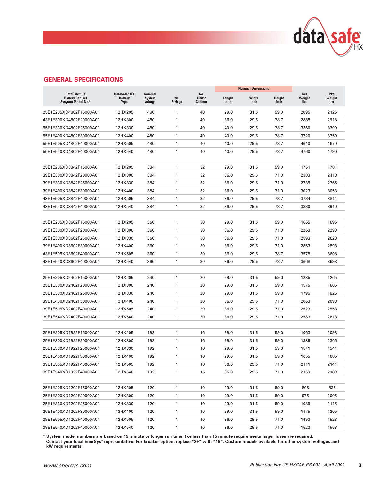

### **GENERAL SPECIFICATIONS**

|                                                                          |                                               |                                            |                       |                          | <b>Nominal Dimensions</b> |               |                |                             |                             |
|--------------------------------------------------------------------------|-----------------------------------------------|--------------------------------------------|-----------------------|--------------------------|---------------------------|---------------|----------------|-----------------------------|-----------------------------|
| DataSafe <sup>®</sup> HX<br><b>Battery Cabinet</b><br>Sysytem Model No.* | DataSafe® HX<br><b>Battery</b><br><b>Type</b> | Nominal<br><b>System</b><br><b>Voltage</b> | No.<br><b>Strings</b> | No.<br>Units/<br>Cabinet | Length<br>inch            | Width<br>inch | Height<br>inch | Net<br>Weight<br><b>Ibs</b> | <b>Pkg</b><br>Weight<br>lbs |
| 25E1E205XD4802F15000A01                                                  | 12HX205                                       | 480                                        | $\mathbf{1}$          | 40                       | 29.0                      | 31.5          | 59.0           | 2095                        | 2125                        |
| 43E1E300XD4802F20000A01                                                  | 12HX300                                       | 480                                        | 1                     | 40                       | 36.0                      | 29.5          | 78.7           | 2888                        | 2918                        |
| 55E1E330XD4802F25000A01                                                  | 12HX330                                       | 480                                        | 1                     | 40                       | 40.0                      | 29.5          | 78.7           | 3360                        | 3390                        |
| 55E1E400XD4802F30000A01                                                  | 12HX400                                       | 480                                        | 1                     | 40                       | 40.0                      | 29.5          | 78.7           | 3720                        | 3750                        |
| 55E1E505XD4802F40000A01                                                  | 12HX505                                       | 480                                        | 1                     | 40                       | 40.0                      | 29.5          | 78.7           | 4640                        | 4670                        |
| 55E1E540XD4802F40000A01                                                  | 12HX540                                       | 480                                        | 1                     | 40                       | 40.0                      | 29.5          | 78.7           | 4760                        | 4790                        |
|                                                                          |                                               |                                            |                       |                          |                           |               |                |                             |                             |
| 25E1E205XD3842F15000A01                                                  | 12HX205                                       | 384                                        | 1                     | 32                       | 29.0                      | 31.5          | 59.0           | 1751                        | 1781                        |
| 39E1E300XD3842F20000A01                                                  | 12HX300                                       | 384                                        | 1                     | 32                       | 36.0                      | 29.5          | 71.0           | 2383                        | 2413                        |
| 39E1E330XD3842F25000A01                                                  | 12HX330                                       | 384                                        | 1                     | 32                       | 36.0                      | 29.5          | 71.0           | 2735                        | 2765                        |
| 39E1E400XD3842F30000A01                                                  | 12HX400                                       | 384                                        | 1                     | 32                       | 36.0                      | 29.5          | 71.0           | 3023                        | 3053                        |
| 43E1E505XD3842F40000A01                                                  | 12HX505                                       | 384                                        | 1                     | 32                       | 36.0                      | 29.5          | 78.7           | 3784                        | 3814                        |
| 43E1E540XD3842F40000A01                                                  | 12HX540                                       | 384                                        | 1                     | 32                       | 36.0                      | 29.5          | 78.7           | 3880                        | 3910                        |
|                                                                          |                                               |                                            |                       |                          |                           |               |                |                             |                             |
| 25E1E205XD3602F15000A01                                                  | 12HX205                                       | 360                                        | 1                     | 30                       | 29.0                      | 31.5          | 59.0           | 1665                        | 1695                        |
| 39E1E300XD3602F20000A01                                                  | 12HX300                                       | 360                                        | 1                     | 30                       | 36.0                      | 29.5          | 71.0           | 2263                        | 2293                        |
| 39E1E330XD3602F25000A01                                                  | 12HX330                                       | 360                                        | 1                     | 30                       | 36.0                      | 29.5          | 71.0           | 2593                        | 2623                        |
| 39E1E400XD3602F30000A01                                                  | 12HX400                                       | 360                                        | 1                     | 30                       | 36.0                      | 29.5          | 71.0           | 2863                        | 2893                        |
| 43E1E505XD3602F40000A01                                                  | 12HX505                                       | 360                                        | 1                     | 30                       | 36.0                      | 29.5          | 78.7           | 3578                        | 3608                        |
| 43E1E540XD3602F40000A01                                                  | 12HX540                                       | 360                                        | 1                     | 30                       | 36.0                      | 29.5          | 78.7           | 3668                        | 3698                        |
|                                                                          |                                               |                                            |                       |                          |                           |               |                |                             |                             |
| 25E1E205XD2402F15000A01                                                  | 12HX205                                       | 240                                        | 1                     | 20                       | 29.0                      | 31.5          | 59.0           | 1235                        | 1265                        |
| 25E1E300XD2402F20000A01                                                  | 12HX300                                       | 240                                        | 1                     | 20                       | 29.0                      | 31.5          | 59.0           | 1575                        | 1605                        |
| 25E1E330XD2402F25000A01                                                  | 12HX330                                       | 240                                        | 1                     | 20                       | 29.0                      | 31.5          | 59.0           | 1795                        | 1825                        |
| 39E1E400XD2402F30000A01                                                  | 12HX400                                       | 240                                        | 1                     | 20                       | 36.0                      | 29.5          | 71.0           | 2063                        | 2093                        |
| 39E1E505XD2402F40000A01                                                  | 12HX505                                       | 240                                        | 1                     | 20                       | 36.0                      | 29.5          | 71.0           | 2523                        | 2553                        |
| 39E1E540XD2402F40000A01                                                  | 12HX540                                       | 240                                        | 1                     | 20                       | 36.0                      | 29.5          | 71.0           | 2583                        | 2613                        |
|                                                                          |                                               |                                            |                       |                          |                           |               |                |                             |                             |
| 25E1E205XD1922F15000A01                                                  | 12HX205                                       | 192                                        | 1                     | 16                       | 29.0                      | 31.5          | 59.0           | 1063                        | 1093                        |
| 25E1E300XD1922F20000A01                                                  | 12HX300                                       | 192                                        | 1                     | 16                       | 29.0                      | 31.5          | 59.0           | 1335                        | 1365                        |
| 25E1E330XD1922F25000A01                                                  | 12HX330                                       | 192                                        | 1                     | 16                       | 29.0                      | 31.5          | 59.0           | 1511                        | 1541                        |
| 25E1E400XD1922F30000A01                                                  | 12HX400                                       | 192                                        | 1                     | 16                       | 29.0                      | 31.5          | 59.0           | 1655                        | 1685                        |
| 39E1E505XD1922F40000A01                                                  | 12HX505                                       | 192                                        | $\mathbf{1}$          | 16                       | 36.0                      | 29.5          | 71.0           | 2111                        | 2141                        |
| 39E1E540XD1922F40000A01                                                  | 12HX540                                       | 192                                        | $\mathbf{1}$          | 16                       | 36.0                      | 29.5          | 71.0           | 2159                        | 2189                        |
| 25E1E205XD1202F15000A01                                                  | 12HX205                                       | 120                                        | $\mathbf{1}$          | 10                       | 29.0                      | 31.5          | 59.0           | 805                         | 835                         |
| 25E1E300XD1202F20000A01                                                  | 12HX300                                       | 120                                        | $\mathbf{1}$          | 10                       | 29.0                      | 31.5          | 59.0           | 975                         | 1005                        |
| 25E1E330XD1202F25000A01                                                  | 12HX330                                       | 120                                        | $\mathbf{1}$          | 10                       | 29.0                      | 31.5          | 59.0           | 1085                        | 1115                        |
| 25E1E400XD1202F30000A01                                                  | 12HX400                                       | 120                                        | $\mathbf{1}$          | 10                       | 29.0                      | 31.5          | 59.0           | 1175                        | 1205                        |
| 39E1E505XD1202F40000A01                                                  | 12HX505                                       | 120                                        | $\mathbf{1}$          | 10                       | 36.0                      | 29.5          | 71.0           | 1493                        | 1523                        |
| 39E1E540XD1202F40000A01                                                  | 12HX540                                       | 120                                        | $\mathbf{1}$          | 10                       | 36.0                      | 29.5          | 71.0           | 1523                        | 1553                        |
|                                                                          |                                               |                                            |                       |                          |                           |               |                |                             |                             |

**\* System model numbers are based on 15 minute or longer run time. For less than 15 minute requirements larger fuses are required. Contact your local EnerSys® representative. For breaker option, replace "2F" with "1B". Custom models available for other system voltages and kW requirements.**